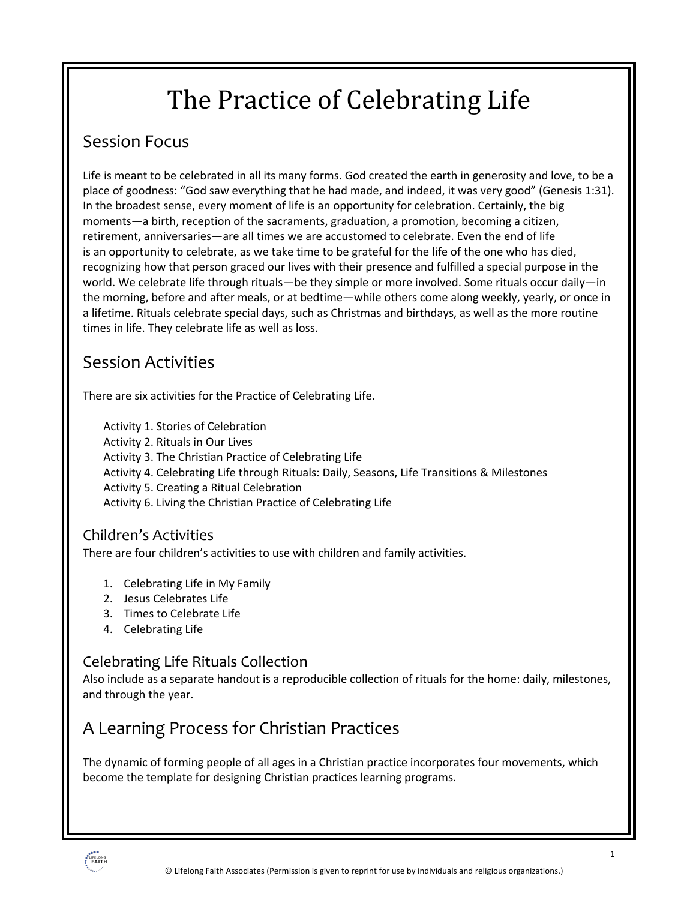# The Practice of Celebrating Life

## Session Focus

Life is meant to be celebrated in all its many forms. God created the earth in generosity and love, to be a place of goodness: "God saw everything that he had made, and indeed, it was very good" (Genesis 1:31). In the broadest sense, every moment of life is an opportunity for celebration. Certainly, the big moments—a birth, reception of the sacraments, graduation, a promotion, becoming a citizen, retirement, anniversaries—are all times we are accustomed to celebrate. Even the end of life is an opportunity to celebrate, as we take time to be grateful for the life of the one who has died, recognizing how that person graced our lives with their presence and fulfilled a special purpose in the world. We celebrate life through rituals—be they simple or more involved. Some rituals occur daily—in the morning, before and after meals, or at bedtime—while others come along weekly, yearly, or once in a lifetime. Rituals celebrate special days, such as Christmas and birthdays, as well as the more routine times in life. They celebrate life as well as loss.

## Session Activities

There are six activities for the Practice of Celebrating Life.

Activity 1. Stories of Celebration Activity 2. Rituals in Our Lives Activity 3. The Christian Practice of Celebrating Life Activity 4. Celebrating Life through Rituals: Daily, Seasons, Life Transitions & Milestones Activity 5. Creating a Ritual Celebration Activity 6. Living the Christian Practice of Celebrating Life

#### Children's Activities

There are four children's activities to use with children and family activities.

- 1. Celebrating Life in My Family
- 2. Jesus Celebrates Life
- 3. Times to Celebrate Life
- 4. Celebrating Life

### Celebrating Life Rituals Collection

Also include as a separate handout is a reproducible collection of rituals for the home: daily, milestones, and through the year.

## A Learning Process for Christian Practices

The dynamic of forming people of all ages in a Christian practice incorporates four movements, which become the template for designing Christian practices learning programs.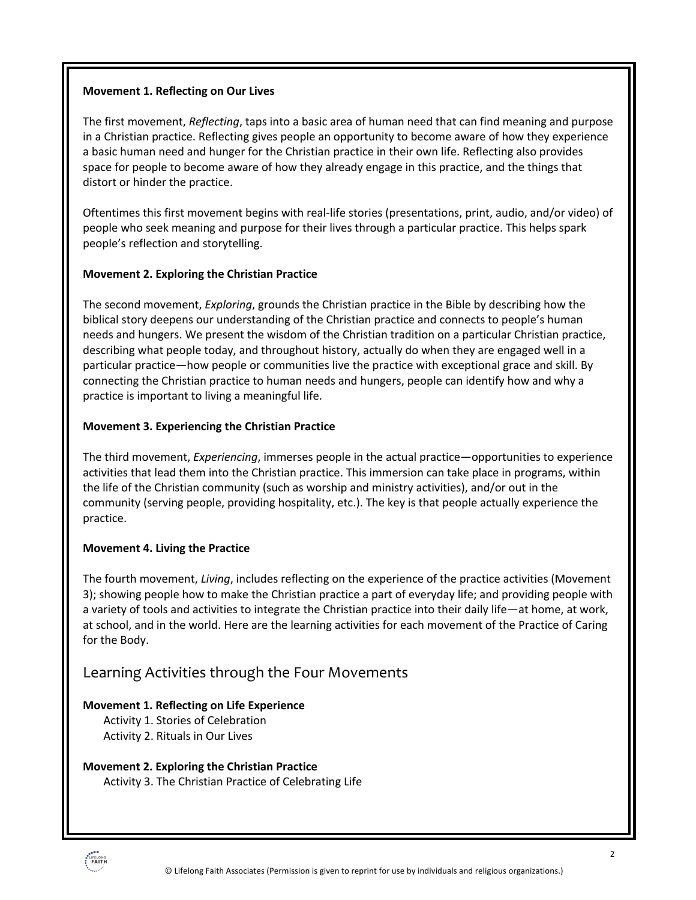#### **Movement 1. Reflecting on Our Lives**

The first movement, *Reflecting*, taps into a basic area of human need that can find meaning and purpose in a Christian practice. Reflecting gives people an opportunity to become aware of how they experience a basic human need and hunger for the Christian practice in their own life. Reflecting also provides space for people to become aware of how they already engage in this practice, and the things that distort or hinder the practice.

Oftentimes this first movement begins with real-life stories (presentations, print, audio, and/or video) of people who seek meaning and purpose for their lives through a particular practice. This helps spark people's reflection and storytelling.

#### **Movement 2. Exploring the Christian Practice**

The second movement, *Exploring*, grounds the Christian practice in the Bible by describing how the biblical story deepens our understanding of the Christian practice and connects to people's human needs and hungers. We present the wisdom of the Christian tradition on a particular Christian practice, describing what people today, and throughout history, actually do when they are engaged well in a particular practice—how people or communities live the practice with exceptional grace and skill. By connecting the Christian practice to human needs and hungers, people can identify how and why a practice is important to living a meaningful life.

#### **Movement 3. Experiencing the Christian Practice**

The third movement, *Experiencing*, immerses people in the actual practice—opportunities to experience activities that lead them into the Christian practice. This immersion can take place in programs, within the life of the Christian community (such as worship and ministry activities), and/or out in the community (serving people, providing hospitality, etc.). The key is that people actually experience the practice.

#### **Movement 4. Living the Practice**

The fourth movement, *Living*, includes reflecting on the experience of the practice activities (Movement 3); showing people how to make the Christian practice a part of everyday life; and providing people with a variety of tools and activities to integrate the Christian practice into their daily life—at home, at work, at school, and in the world. Here are the learning activities for each movement of the Practice of Caring for the Body.

#### Learning Activities through the Four Movements

#### **Movement 1. Reflecting on Life Experience**

Activity 1. Stories of Celebration Activity 2. Rituals in Our Lives

#### **Movement 2. Exploring the Christian Practice**

Activity 3. The Christian Practice of Celebrating Life

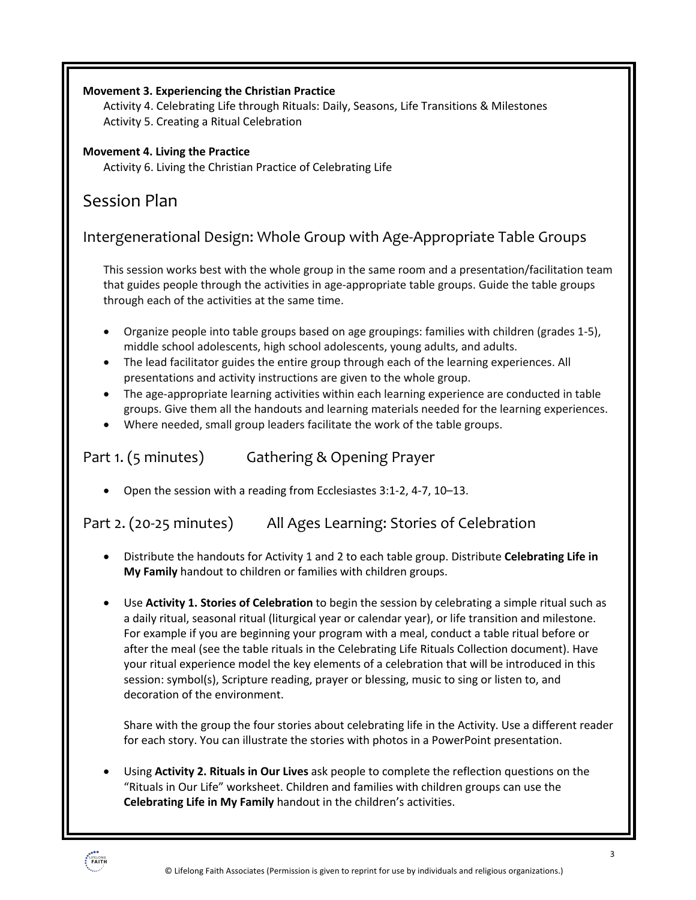#### **Movement 3. Experiencing the Christian Practice**

Activity 4. Celebrating Life through Rituals: Daily, Seasons, Life Transitions & Milestones Activity 5. Creating a Ritual Celebration

#### **Movement 4. Living the Practice**

Activity 6. Living the Christian Practice of Celebrating Life

### Session Plan

#### Intergenerational Design: Whole Group with Age-Appropriate Table Groups

This session works best with the whole group in the same room and a presentation/facilitation team that guides people through the activities in age-appropriate table groups. Guide the table groups through each of the activities at the same time.

- Organize people into table groups based on age groupings: families with children (grades 1-5), middle school adolescents, high school adolescents, young adults, and adults.
- The lead facilitator guides the entire group through each of the learning experiences. All presentations and activity instructions are given to the whole group.
- The age-appropriate learning activities within each learning experience are conducted in table groups. Give them all the handouts and learning materials needed for the learning experiences.
- Where needed, small group leaders facilitate the work of the table groups.

#### Part 1. (5 minutes) Gathering & Opening Prayer

• Open the session with a reading from Ecclesiastes 3:1-2, 4-7, 10–13.

#### Part 2. (20-25 minutes) All Ages Learning: Stories of Celebration

- Distribute the handouts for Activity 1 and 2 to each table group. Distribute **Celebrating Life in My Family** handout to children or families with children groups.
- Use **Activity 1. Stories of Celebration** to begin the session by celebrating a simple ritual such as a daily ritual, seasonal ritual (liturgical year or calendar year), or life transition and milestone. For example if you are beginning your program with a meal, conduct a table ritual before or after the meal (see the table rituals in the Celebrating Life Rituals Collection document). Have your ritual experience model the key elements of a celebration that will be introduced in this session: symbol(s), Scripture reading, prayer or blessing, music to sing or listen to, and decoration of the environment.

Share with the group the four stories about celebrating life in the Activity. Use a different reader for each story. You can illustrate the stories with photos in a PowerPoint presentation.

• Using **Activity 2. Rituals in Our Lives** ask people to complete the reflection questions on the "Rituals in Our Life" worksheet. Children and families with children groups can use the **Celebrating Life in My Family** handout in the children's activities.

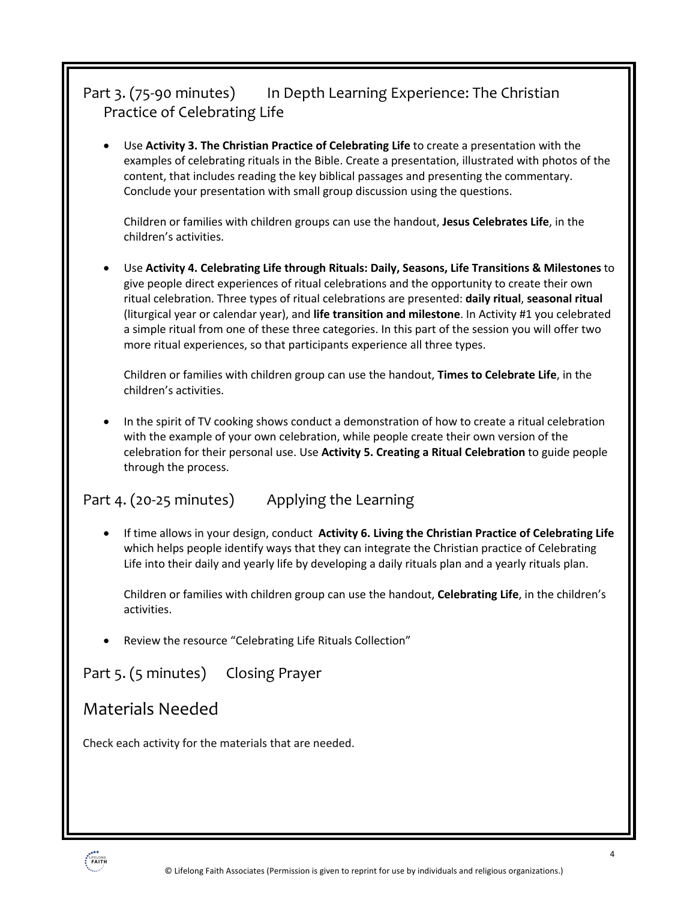### Part 3. (75-90 minutes) In Depth Learning Experience: The Christian Practice of Celebrating Life

• Use **Activity 3. The Christian Practice of Celebrating Life** to create a presentation with the examples of celebrating rituals in the Bible. Create a presentation, illustrated with photos of the content, that includes reading the key biblical passages and presenting the commentary. Conclude your presentation with small group discussion using the questions.

Children or families with children groups can use the handout, **Jesus Celebrates Life**, in the children's activities.

• Use **Activity 4. Celebrating Life through Rituals: Daily, Seasons, Life Transitions & Milestones** to give people direct experiences of ritual celebrations and the opportunity to create their own ritual celebration. Three types of ritual celebrations are presented: **daily ritual**, **seasonal ritual** (liturgical year or calendar year), and **life transition and milestone**. In Activity #1 you celebrated a simple ritual from one of these three categories. In this part of the session you will offer two more ritual experiences, so that participants experience all three types.

Children or families with children group can use the handout, **Times to Celebrate Life**, in the children's activities.

• In the spirit of TV cooking shows conduct a demonstration of how to create a ritual celebration with the example of your own celebration, while people create their own version of the celebration for their personal use. Use **Activity 5. Creating a Ritual Celebration** to guide people through the process.

Part 4. (20-25 minutes) Applying the Learning

• If time allows in your design, conduct **Activity 6. Living the Christian Practice of Celebrating Life** which helps people identify ways that they can integrate the Christian practice of Celebrating Life into their daily and yearly life by developing a daily rituals plan and a yearly rituals plan.

Children or families with children group can use the handout, **Celebrating Life**, in the children's activities.

• Review the resource "Celebrating Life Rituals Collection"

### Part 5. (5 minutes) Closing Prayer

### Materials Needed

Check each activity for the materials that are needed.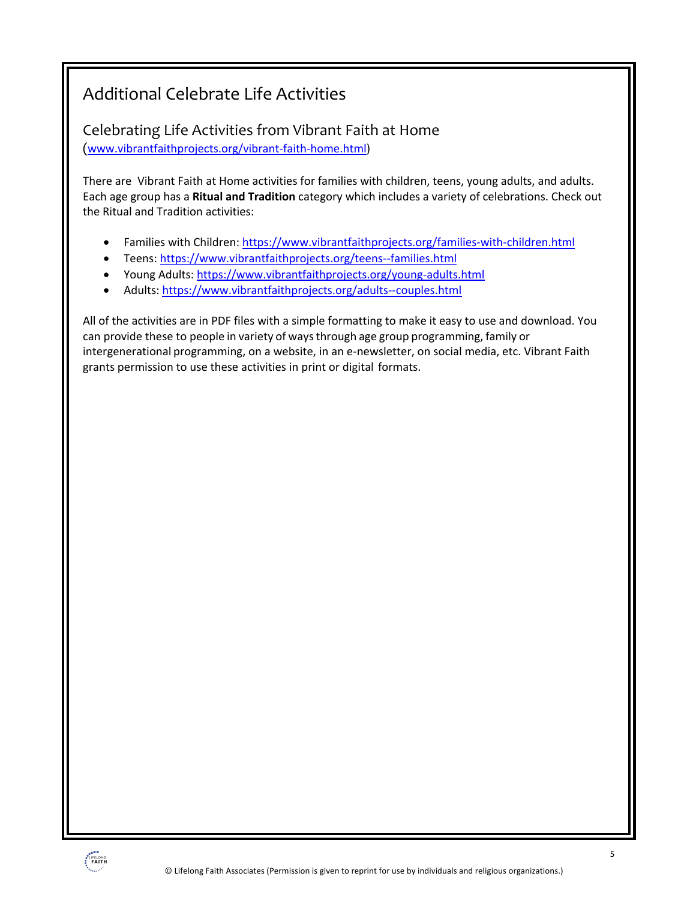# Additional Celebrate Life Activities

Celebrating Life Activities from Vibrant Faith at Home (www.vibrantfaithprojects.org/vibrant-faith-home.html)

There are Vibrant Faith at Home activities for families with children, teens, young adults, and adults. Each age group has a **Ritual and Tradition** category which includes a variety of celebrations. Check out the Ritual and Tradition activities:

- Families with Children: https://www.vibrantfaithprojects.org/families-with-children.html
- Teens: https://www.vibrantfaithprojects.org/teens--families.html
- Young Adults: https://www.vibrantfaithprojects.org/young-adults.html
- Adults: https://www.vibrantfaithprojects.org/adults--couples.html

All of the activities are in PDF files with a simple formatting to make it easy to use and download. You can provide these to people in variety of waysthrough age group programming, family or intergenerational programming, on a website, in an e-newsletter, on social media, etc. Vibrant Faith grants permission to use these activities in print or digital formats.

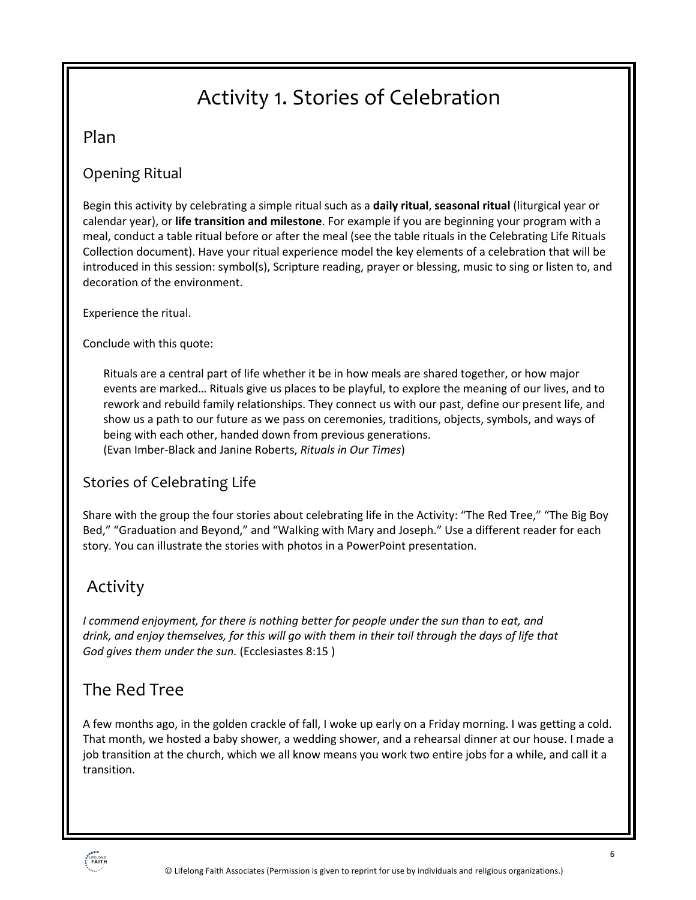# Activity 1. Stories of Celebration

### Plan

### Opening Ritual

Begin this activity by celebrating a simple ritual such as a **daily ritual**, **seasonal ritual** (liturgical year or calendar year), or **life transition and milestone**. For example if you are beginning your program with a meal, conduct a table ritual before or after the meal (see the table rituals in the Celebrating Life Rituals Collection document). Have your ritual experience model the key elements of a celebration that will be introduced in this session: symbol(s), Scripture reading, prayer or blessing, music to sing or listen to, and decoration of the environment.

Experience the ritual.

Conclude with this quote:

Rituals are a central part of life whether it be in how meals are shared together, or how major events are marked… Rituals give us places to be playful, to explore the meaning of our lives, and to rework and rebuild family relationships. They connect us with our past, define our present life, and show us a path to our future as we pass on ceremonies, traditions, objects, symbols, and ways of being with each other, handed down from previous generations. (Evan Imber-Black and Janine Roberts, *Rituals in Our Times*)

### Stories of Celebrating Life

Share with the group the four stories about celebrating life in the Activity: "The Red Tree," "The Big Boy Bed," "Graduation and Beyond," and "Walking with Mary and Joseph." Use a different reader for each story. You can illustrate the stories with photos in a PowerPoint presentation.

## Activity

*I* commend enjoyment, for there is nothing better for people under the sun than to eat, and *drink, and enjoy themselves, for this will go with them in their toil through the days of life that God gives them under the sun.* (Ecclesiastes 8:15 )

# The Red Tree

A few months ago, in the golden crackle of fall, I woke up early on a Friday morning. I was getting a cold. That month, we hosted a baby shower, a wedding shower, and a rehearsal dinner at our house. I made a job transition at the church, which we all know means you work two entire jobs for a while, and call it a transition.

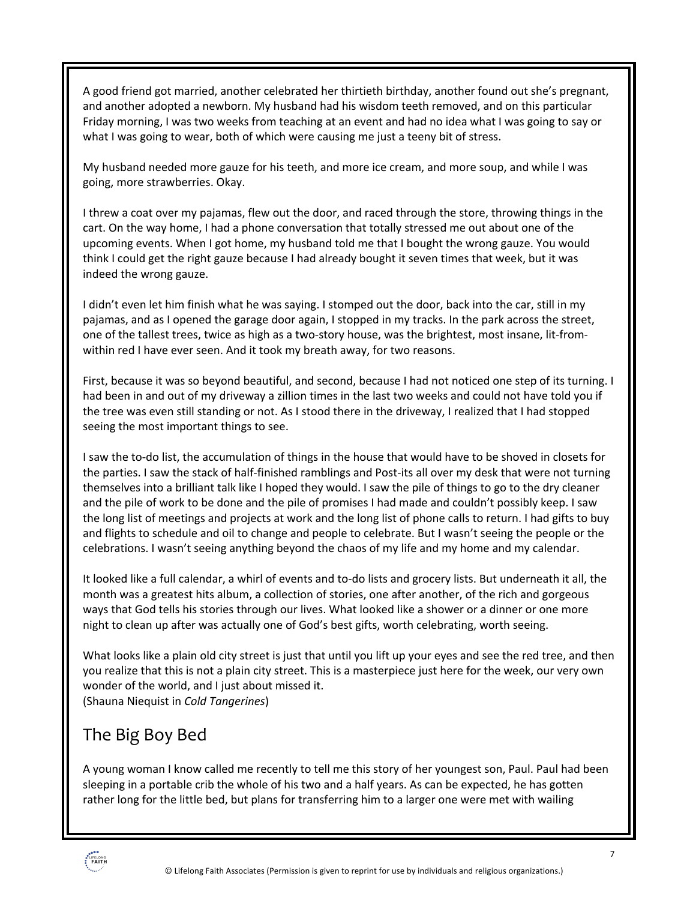A good friend got married, another celebrated her thirtieth birthday, another found out she's pregnant, and another adopted a newborn. My husband had his wisdom teeth removed, and on this particular Friday morning, I was two weeks from teaching at an event and had no idea what I was going to say or what I was going to wear, both of which were causing me just a teeny bit of stress.

My husband needed more gauze for his teeth, and more ice cream, and more soup, and while I was going, more strawberries. Okay.

I threw a coat over my pajamas, flew out the door, and raced through the store, throwing things in the cart. On the way home, I had a phone conversation that totally stressed me out about one of the upcoming events. When I got home, my husband told me that I bought the wrong gauze. You would think I could get the right gauze because I had already bought it seven times that week, but it was indeed the wrong gauze.

I didn't even let him finish what he was saying. I stomped out the door, back into the car, still in my pajamas, and as I opened the garage door again, I stopped in my tracks. In the park across the street, one of the tallest trees, twice as high as a two-story house, was the brightest, most insane, lit-fromwithin red I have ever seen. And it took my breath away, for two reasons.

First, because it was so beyond beautiful, and second, because I had not noticed one step of its turning. I had been in and out of my driveway a zillion times in the last two weeks and could not have told you if the tree was even still standing or not. As I stood there in the driveway, I realized that I had stopped seeing the most important things to see.

I saw the to-do list, the accumulation of things in the house that would have to be shoved in closets for the parties. I saw the stack of half-finished ramblings and Post-its all over my desk that were not turning themselves into a brilliant talk like I hoped they would. I saw the pile of things to go to the dry cleaner and the pile of work to be done and the pile of promises I had made and couldn't possibly keep. I saw the long list of meetings and projects at work and the long list of phone calls to return. I had gifts to buy and flights to schedule and oil to change and people to celebrate. But I wasn't seeing the people or the celebrations. I wasn't seeing anything beyond the chaos of my life and my home and my calendar.

It looked like a full calendar, a whirl of events and to-do lists and grocery lists. But underneath it all, the month was a greatest hits album, a collection of stories, one after another, of the rich and gorgeous ways that God tells his stories through our lives. What looked like a shower or a dinner or one more night to clean up after was actually one of God's best gifts, worth celebrating, worth seeing.

What looks like a plain old city street is just that until you lift up your eyes and see the red tree, and then you realize that this is not a plain city street. This is a masterpiece just here for the week, our very own wonder of the world, and I just about missed it. (Shauna Niequist in *Cold Tangerines*)

## The Big Boy Bed

A young woman I know called me recently to tell me this story of her youngest son, Paul. Paul had been sleeping in a portable crib the whole of his two and a half years. As can be expected, he has gotten rather long for the little bed, but plans for transferring him to a larger one were met with wailing

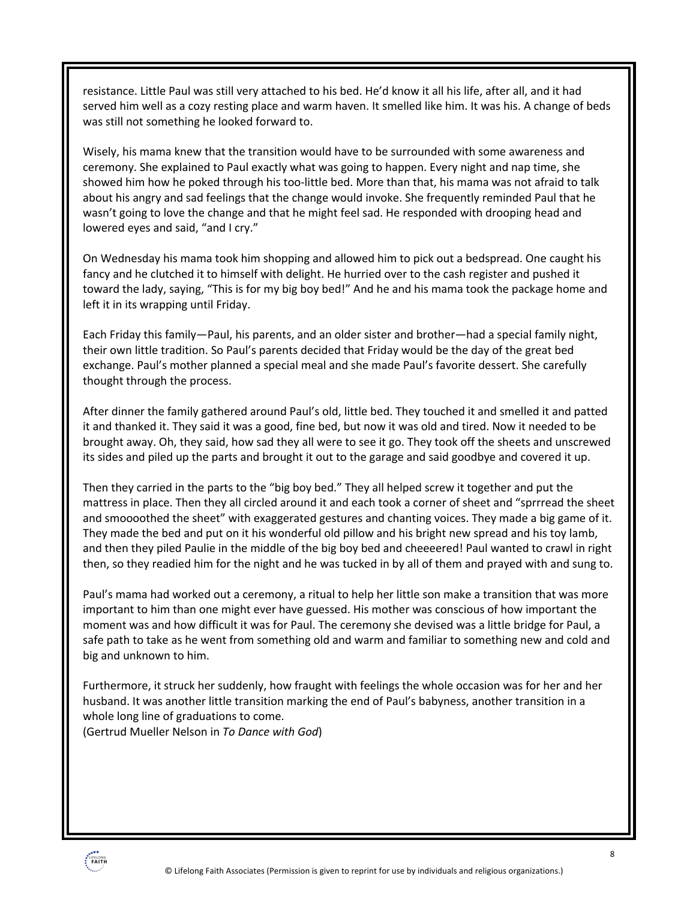resistance. Little Paul was still very attached to his bed. He'd know it all his life, after all, and it had served him well as a cozy resting place and warm haven. It smelled like him. It was his. A change of beds was still not something he looked forward to.

Wisely, his mama knew that the transition would have to be surrounded with some awareness and ceremony. She explained to Paul exactly what was going to happen. Every night and nap time, she showed him how he poked through his too-little bed. More than that, his mama was not afraid to talk about his angry and sad feelings that the change would invoke. She frequently reminded Paul that he wasn't going to love the change and that he might feel sad. He responded with drooping head and lowered eyes and said, "and I cry."

On Wednesday his mama took him shopping and allowed him to pick out a bedspread. One caught his fancy and he clutched it to himself with delight. He hurried over to the cash register and pushed it toward the lady, saying, "This is for my big boy bed!" And he and his mama took the package home and left it in its wrapping until Friday.

Each Friday this family—Paul, his parents, and an older sister and brother—had a special family night, their own little tradition. So Paul's parents decided that Friday would be the day of the great bed exchange. Paul's mother planned a special meal and she made Paul's favorite dessert. She carefully thought through the process.

After dinner the family gathered around Paul's old, little bed. They touched it and smelled it and patted it and thanked it. They said it was a good, fine bed, but now it was old and tired. Now it needed to be brought away. Oh, they said, how sad they all were to see it go. They took off the sheets and unscrewed its sides and piled up the parts and brought it out to the garage and said goodbye and covered it up.

Then they carried in the parts to the "big boy bed." They all helped screw it together and put the mattress in place. Then they all circled around it and each took a corner of sheet and "sprrread the sheet and smoooothed the sheet" with exaggerated gestures and chanting voices. They made a big game of it. They made the bed and put on it his wonderful old pillow and his bright new spread and his toy lamb, and then they piled Paulie in the middle of the big boy bed and cheeeered! Paul wanted to crawl in right then, so they readied him for the night and he was tucked in by all of them and prayed with and sung to.

Paul's mama had worked out a ceremony, a ritual to help her little son make a transition that was more important to him than one might ever have guessed. His mother was conscious of how important the moment was and how difficult it was for Paul. The ceremony she devised was a little bridge for Paul, a safe path to take as he went from something old and warm and familiar to something new and cold and big and unknown to him.

Furthermore, it struck her suddenly, how fraught with feelings the whole occasion was for her and her husband. It was another little transition marking the end of Paul's babyness, another transition in a whole long line of graduations to come.

(Gertrud Mueller Nelson in *To Dance with God*)

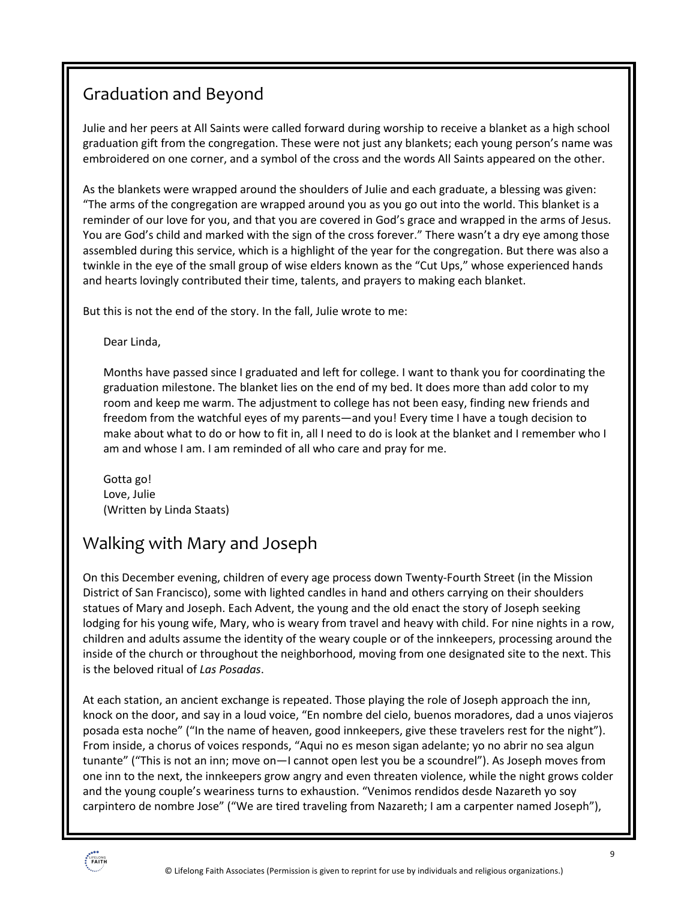# Graduation and Beyond

Julie and her peers at All Saints were called forward during worship to receive a blanket as a high school graduation gift from the congregation. These were not just any blankets; each young person's name was embroidered on one corner, and a symbol of the cross and the words All Saints appeared on the other.

As the blankets were wrapped around the shoulders of Julie and each graduate, a blessing was given: "The arms of the congregation are wrapped around you as you go out into the world. This blanket is a reminder of our love for you, and that you are covered in God's grace and wrapped in the arms of Jesus. You are God's child and marked with the sign of the cross forever." There wasn't a dry eye among those assembled during this service, which is a highlight of the year for the congregation. But there was also a twinkle in the eye of the small group of wise elders known as the "Cut Ups," whose experienced hands and hearts lovingly contributed their time, talents, and prayers to making each blanket.

But this is not the end of the story. In the fall, Julie wrote to me:

Dear Linda,

Months have passed since I graduated and left for college. I want to thank you for coordinating the graduation milestone. The blanket lies on the end of my bed. It does more than add color to my room and keep me warm. The adjustment to college has not been easy, finding new friends and freedom from the watchful eyes of my parents—and you! Every time I have a tough decision to make about what to do or how to fit in, all I need to do is look at the blanket and I remember who I am and whose I am. I am reminded of all who care and pray for me.

Gotta go! Love, Julie (Written by Linda Staats)

## Walking with Mary and Joseph

On this December evening, children of every age process down Twenty-Fourth Street (in the Mission District of San Francisco), some with lighted candles in hand and others carrying on their shoulders statues of Mary and Joseph. Each Advent, the young and the old enact the story of Joseph seeking lodging for his young wife, Mary, who is weary from travel and heavy with child. For nine nights in a row, children and adults assume the identity of the weary couple or of the innkeepers, processing around the inside of the church or throughout the neighborhood, moving from one designated site to the next. This is the beloved ritual of *Las Posadas*.

At each station, an ancient exchange is repeated. Those playing the role of Joseph approach the inn, knock on the door, and say in a loud voice, "En nombre del cielo, buenos moradores, dad a unos viajeros posada esta noche" ("In the name of heaven, good innkeepers, give these travelers rest for the night"). From inside, a chorus of voices responds, "Aqui no es meson sigan adelante; yo no abrir no sea algun tunante" ("This is not an inn; move on—I cannot open lest you be a scoundrel"). As Joseph moves from one inn to the next, the innkeepers grow angry and even threaten violence, while the night grows colder and the young couple's weariness turns to exhaustion. "Venimos rendidos desde Nazareth yo soy carpintero de nombre Jose" ("We are tired traveling from Nazareth; I am a carpenter named Joseph"),

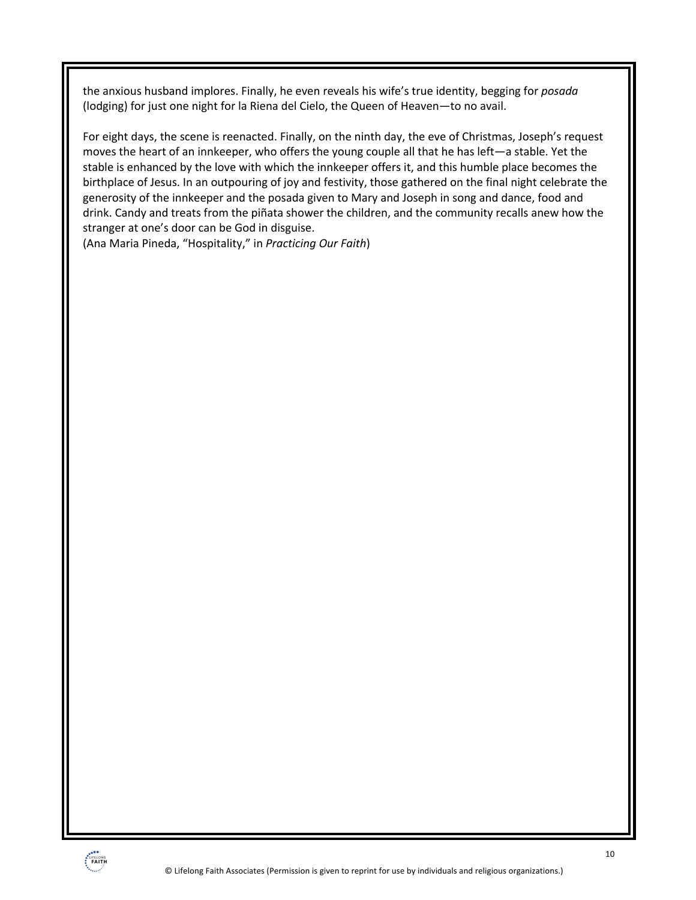the anxious husband implores. Finally, he even reveals his wife's true identity, begging for *posada* (lodging) for just one night for la Riena del Cielo, the Queen of Heaven—to no avail.

For eight days, the scene is reenacted. Finally, on the ninth day, the eve of Christmas, Joseph's request moves the heart of an innkeeper, who offers the young couple all that he has left—a stable. Yet the stable is enhanced by the love with which the innkeeper offers it, and this humble place becomes the birthplace of Jesus. In an outpouring of joy and festivity, those gathered on the final night celebrate the generosity of the innkeeper and the posada given to Mary and Joseph in song and dance, food and drink. Candy and treats from the piñata shower the children, and the community recalls anew how the stranger at one's door can be God in disguise.

(Ana Maria Pineda, "Hospitality," in *Practicing Our Faith*)

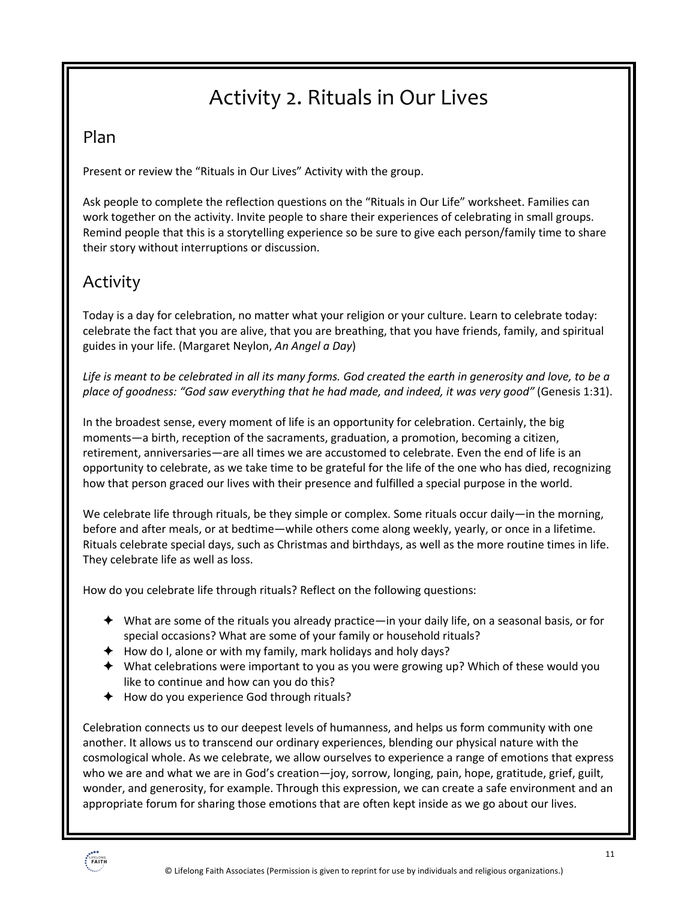# Activity 2. Rituals in Our Lives

### Plan

Present or review the "Rituals in Our Lives" Activity with the group.

Ask people to complete the reflection questions on the "Rituals in Our Life" worksheet. Families can work together on the activity. Invite people to share their experiences of celebrating in small groups. Remind people that this is a storytelling experience so be sure to give each person/family time to share their story without interruptions or discussion.

## Activity

Today is a day for celebration, no matter what your religion or your culture. Learn to celebrate today: celebrate the fact that you are alive, that you are breathing, that you have friends, family, and spiritual guides in your life. (Margaret Neylon, *An Angel a Day*)

*Life is meant to be celebrated in all its many forms. God created the earth in generosity and love, to be a place of goodness: "God saw everything that he had made, and indeed, it was very good"* (Genesis 1:31).

In the broadest sense, every moment of life is an opportunity for celebration. Certainly, the big moments—a birth, reception of the sacraments, graduation, a promotion, becoming a citizen, retirement, anniversaries—are all times we are accustomed to celebrate. Even the end of life is an opportunity to celebrate, as we take time to be grateful for the life of the one who has died, recognizing how that person graced our lives with their presence and fulfilled a special purpose in the world.

We celebrate life through rituals, be they simple or complex. Some rituals occur daily—in the morning, before and after meals, or at bedtime—while others come along weekly, yearly, or once in a lifetime. Rituals celebrate special days, such as Christmas and birthdays, as well as the more routine times in life. They celebrate life as well as loss.

How do you celebrate life through rituals? Reflect on the following questions:

- $\blacklozenge$  What are some of the rituals you already practice—in your daily life, on a seasonal basis, or for special occasions? What are some of your family or household rituals?
- $\triangleq$  How do I, alone or with my family, mark holidays and holy days?
- $\blacklozenge$  What celebrations were important to you as you were growing up? Which of these would you like to continue and how can you do this?
- $\triangleleft$  How do you experience God through rituals?

Celebration connects us to our deepest levels of humanness, and helps us form community with one another. It allows us to transcend our ordinary experiences, blending our physical nature with the cosmological whole. As we celebrate, we allow ourselves to experience a range of emotions that express who we are and what we are in God's creation—joy, sorrow, longing, pain, hope, gratitude, grief, guilt, wonder, and generosity, for example. Through this expression, we can create a safe environment and an appropriate forum for sharing those emotions that are often kept inside as we go about our lives.

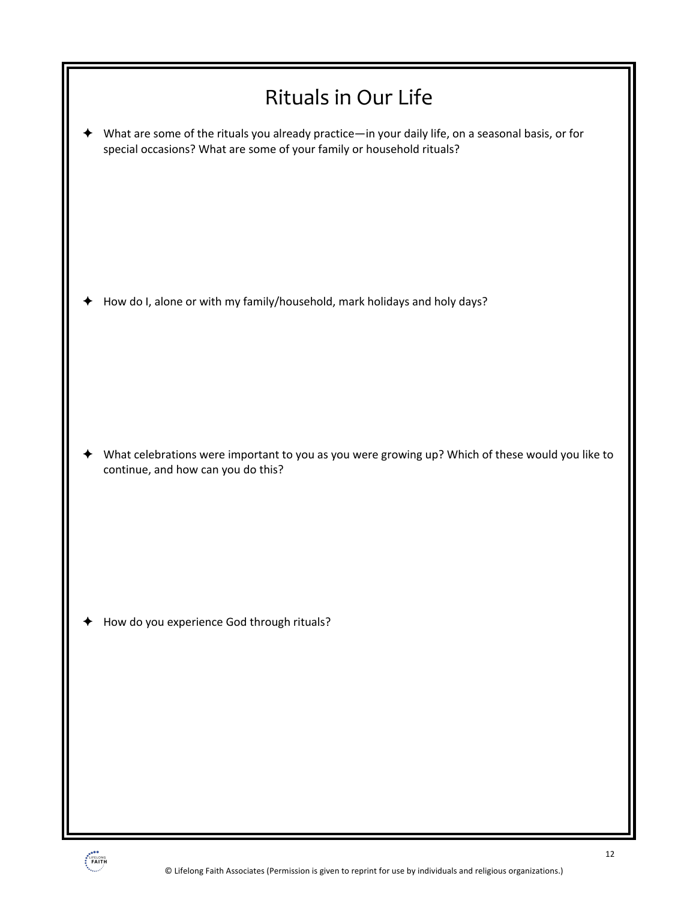| <b>Rituals in Our Life</b>                                                                                                                                                 |  |
|----------------------------------------------------------------------------------------------------------------------------------------------------------------------------|--|
| What are some of the rituals you already practice-in your daily life, on a seasonal basis, or for<br>special occasions? What are some of your family or household rituals? |  |
| How do I, alone or with my family/household, mark holidays and holy days?                                                                                                  |  |
|                                                                                                                                                                            |  |
| What celebrations were important to you as you were growing up? Which of these would you like to<br>continue, and how can you do this?                                     |  |
| How do you experience God through rituals?                                                                                                                                 |  |
|                                                                                                                                                                            |  |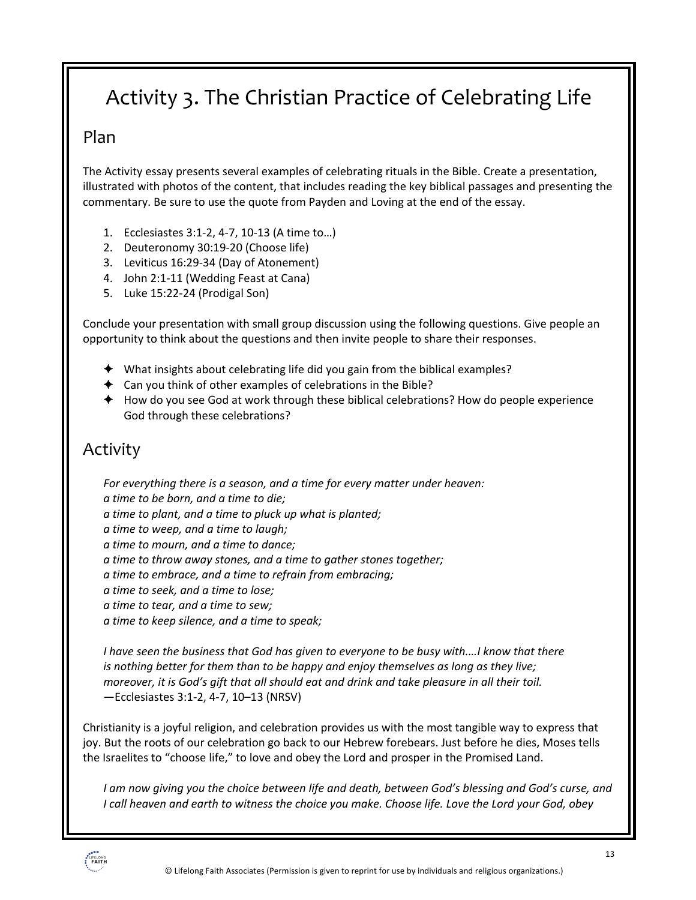# Activity 3. The Christian Practice of Celebrating Life

#### Plan

The Activity essay presents several examples of celebrating rituals in the Bible. Create a presentation, illustrated with photos of the content, that includes reading the key biblical passages and presenting the commentary. Be sure to use the quote from Payden and Loving at the end of the essay.

- 1. Ecclesiastes 3:1-2, 4-7, 10-13 (A time to…)
- 2. Deuteronomy 30:19-20 (Choose life)
- 3. Leviticus 16:29-34 (Day of Atonement)
- 4. John 2:1-11 (Wedding Feast at Cana)
- 5. Luke 15:22-24 (Prodigal Son)

Conclude your presentation with small group discussion using the following questions. Give people an opportunity to think about the questions and then invite people to share their responses.

- $\blacklozenge$  What insights about celebrating life did you gain from the biblical examples?
- $\triangle$  Can you think of other examples of celebrations in the Bible?
- ! How do you see God at work through these biblical celebrations? How do people experience God through these celebrations?

### Activity

*For everything there is a season, and a time for every matter under heaven:*

*a time to be born, and a time to die;*

*a time to plant, and a time to pluck up what is planted;*

- *a time to weep, and a time to laugh;*
- *a time to mourn, and a time to dance;*
- *a time to throw away stones, and a time to gather stones together;*
- *a time to embrace, and a time to refrain from embracing;*
- *a time to seek, and a time to lose;*
- *a time to tear, and a time to sew;*
- *a time to keep silence, and a time to speak;*

*I have seen the business that God has given to everyone to be busy with.…I know that there is nothing better for them than to be happy and enjoy themselves as long as they live; moreover, it is God's gift that all should eat and drink and take pleasure in all their toil.* —Ecclesiastes 3:1-2, 4-7, 10–13 (NRSV)

Christianity is a joyful religion, and celebration provides us with the most tangible way to express that joy. But the roots of our celebration go back to our Hebrew forebears. Just before he dies, Moses tells the Israelites to "choose life," to love and obey the Lord and prosper in the Promised Land.

*I am now giving you the choice between life and death, between God's blessing and God's curse, and I call heaven and earth to witness the choice you make. Choose life. Love the Lord your God, obey* 

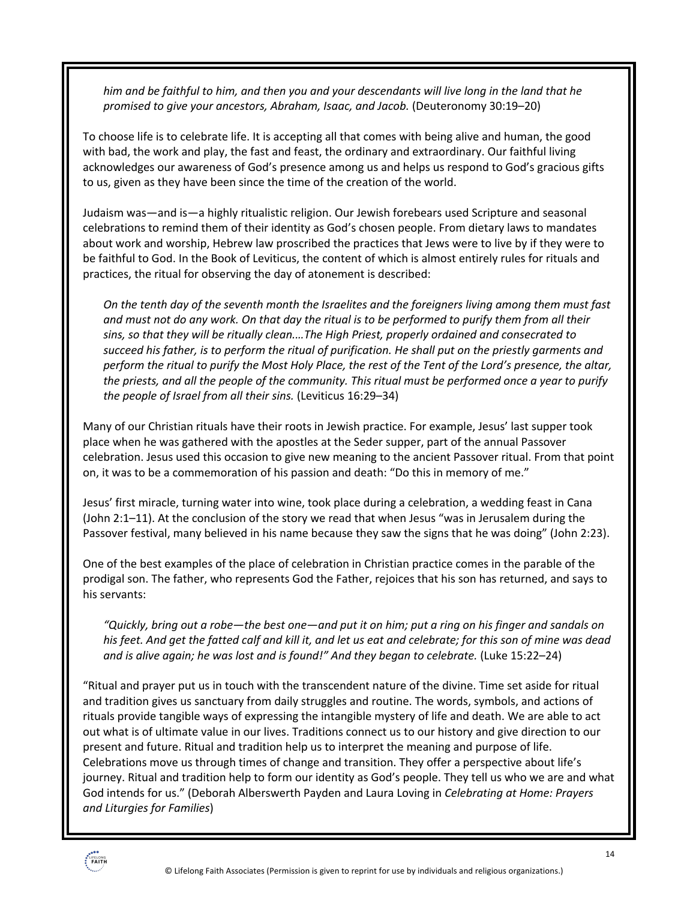*him and be faithful to him, and then you and your descendants will live long in the land that he promised to give your ancestors, Abraham, Isaac, and Jacob.* (Deuteronomy 30:19–20)

To choose life is to celebrate life. It is accepting all that comes with being alive and human, the good with bad, the work and play, the fast and feast, the ordinary and extraordinary. Our faithful living acknowledges our awareness of God's presence among us and helps us respond to God's gracious gifts to us, given as they have been since the time of the creation of the world.

Judaism was—and is—a highly ritualistic religion. Our Jewish forebears used Scripture and seasonal celebrations to remind them of their identity as God's chosen people. From dietary laws to mandates about work and worship, Hebrew law proscribed the practices that Jews were to live by if they were to be faithful to God. In the Book of Leviticus, the content of which is almost entirely rules for rituals and practices, the ritual for observing the day of atonement is described:

*On the tenth day of the seventh month the Israelites and the foreigners living among them must fast and must not do any work. On that day the ritual is to be performed to purify them from all their sins, so that they will be ritually clean.…The High Priest, properly ordained and consecrated to succeed his father, is to perform the ritual of purification. He shall put on the priestly garments and perform the ritual to purify the Most Holy Place, the rest of the Tent of the Lord's presence, the altar, the priests, and all the people of the community. This ritual must be performed once a year to purify the people of Israel from all their sins.* (Leviticus 16:29–34)

Many of our Christian rituals have their roots in Jewish practice. For example, Jesus' last supper took place when he was gathered with the apostles at the Seder supper, part of the annual Passover celebration. Jesus used this occasion to give new meaning to the ancient Passover ritual. From that point on, it was to be a commemoration of his passion and death: "Do this in memory of me."

Jesus' first miracle, turning water into wine, took place during a celebration, a wedding feast in Cana (John 2:1–11). At the conclusion of the story we read that when Jesus "was in Jerusalem during the Passover festival, many believed in his name because they saw the signs that he was doing" (John 2:23).

One of the best examples of the place of celebration in Christian practice comes in the parable of the prodigal son. The father, who represents God the Father, rejoices that his son has returned, and says to his servants:

*"Quickly, bring out a robe—the best one—and put it on him; put a ring on his finger and sandals on his feet. And get the fatted calf and kill it, and let us eat and celebrate; for this son of mine was dead and is alive again; he was lost and is found!" And they began to celebrate.* (Luke 15:22–24)

"Ritual and prayer put us in touch with the transcendent nature of the divine. Time set aside for ritual and tradition gives us sanctuary from daily struggles and routine. The words, symbols, and actions of rituals provide tangible ways of expressing the intangible mystery of life and death. We are able to act out what is of ultimate value in our lives. Traditions connect us to our history and give direction to our present and future. Ritual and tradition help us to interpret the meaning and purpose of life. Celebrations move us through times of change and transition. They offer a perspective about life's journey. Ritual and tradition help to form our identity as God's people. They tell us who we are and what God intends for us." (Deborah Alberswerth Payden and Laura Loving in *Celebrating at Home: Prayers and Liturgies for Families*)

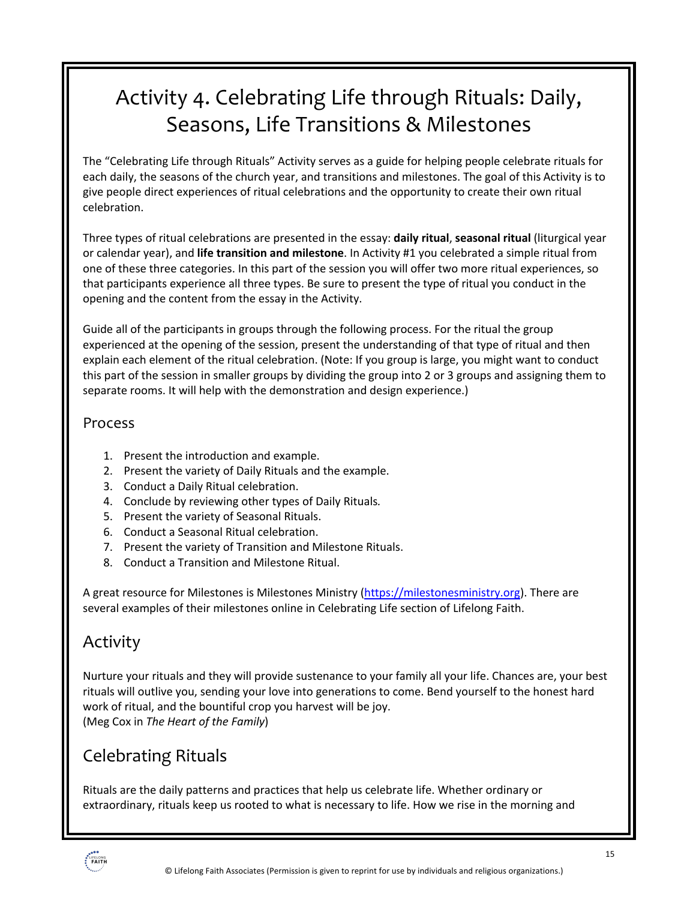# Activity 4. Celebrating Life through Rituals: Daily, Seasons, Life Transitions & Milestones

The "Celebrating Life through Rituals" Activity serves as a guide for helping people celebrate rituals for each daily, the seasons of the church year, and transitions and milestones. The goal of this Activity is to give people direct experiences of ritual celebrations and the opportunity to create their own ritual celebration.

Three types of ritual celebrations are presented in the essay: **daily ritual**, **seasonal ritual** (liturgical year or calendar year), and **life transition and milestone**. In Activity #1 you celebrated a simple ritual from one of these three categories. In this part of the session you will offer two more ritual experiences, so that participants experience all three types. Be sure to present the type of ritual you conduct in the opening and the content from the essay in the Activity.

Guide all of the participants in groups through the following process. For the ritual the group experienced at the opening of the session, present the understanding of that type of ritual and then explain each element of the ritual celebration. (Note: If you group is large, you might want to conduct this part of the session in smaller groups by dividing the group into 2 or 3 groups and assigning them to separate rooms. It will help with the demonstration and design experience.)

#### Process

- 1. Present the introduction and example.
- 2. Present the variety of Daily Rituals and the example.
- 3. Conduct a Daily Ritual celebration.
- 4. Conclude by reviewing other types of Daily Rituals*.*
- 5. Present the variety of Seasonal Rituals.
- 6. Conduct a Seasonal Ritual celebration.
- 7. Present the variety of Transition and Milestone Rituals.
- 8. Conduct a Transition and Milestone Ritual.

A great resource for Milestones is Milestones Ministry (https://milestonesministry.org). There are several examples of their milestones online in Celebrating Life section of Lifelong Faith.

# Activity

Nurture your rituals and they will provide sustenance to your family all your life. Chances are, your best rituals will outlive you, sending your love into generations to come. Bend yourself to the honest hard work of ritual, and the bountiful crop you harvest will be joy. (Meg Cox in *The Heart of the Family*)

# Celebrating Rituals

Rituals are the daily patterns and practices that help us celebrate life. Whether ordinary or extraordinary, rituals keep us rooted to what is necessary to life. How we rise in the morning and

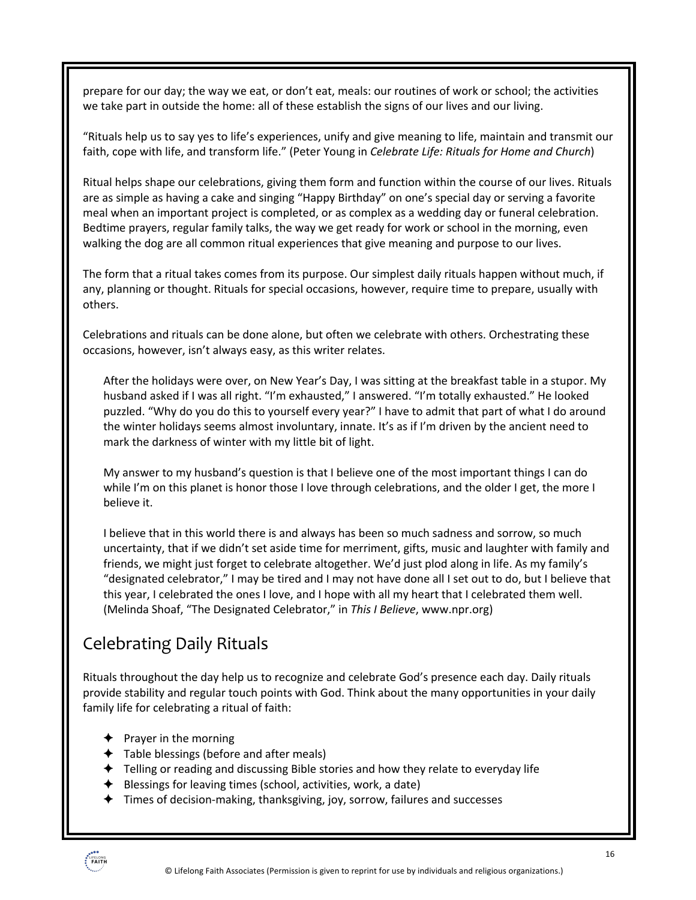prepare for our day; the way we eat, or don't eat, meals: our routines of work or school; the activities we take part in outside the home: all of these establish the signs of our lives and our living.

"Rituals help us to say yes to life's experiences, unify and give meaning to life, maintain and transmit our faith, cope with life, and transform life." (Peter Young in *Celebrate Life: Rituals for Home and Church*)

Ritual helps shape our celebrations, giving them form and function within the course of our lives. Rituals are as simple as having a cake and singing "Happy Birthday" on one's special day or serving a favorite meal when an important project is completed, or as complex as a wedding day or funeral celebration. Bedtime prayers, regular family talks, the way we get ready for work or school in the morning, even walking the dog are all common ritual experiences that give meaning and purpose to our lives.

The form that a ritual takes comes from its purpose. Our simplest daily rituals happen without much, if any, planning or thought. Rituals for special occasions, however, require time to prepare, usually with others.

Celebrations and rituals can be done alone, but often we celebrate with others. Orchestrating these occasions, however, isn't always easy, as this writer relates.

After the holidays were over, on New Year's Day, I was sitting at the breakfast table in a stupor. My husband asked if I was all right. "I'm exhausted," I answered. "I'm totally exhausted." He looked puzzled. "Why do you do this to yourself every year?" I have to admit that part of what I do around the winter holidays seems almost involuntary, innate. It's as if I'm driven by the ancient need to mark the darkness of winter with my little bit of light.

My answer to my husband's question is that I believe one of the most important things I can do while I'm on this planet is honor those I love through celebrations, and the older I get, the more I believe it.

I believe that in this world there is and always has been so much sadness and sorrow, so much uncertainty, that if we didn't set aside time for merriment, gifts, music and laughter with family and friends, we might just forget to celebrate altogether. We'd just plod along in life. As my family's "designated celebrator," I may be tired and I may not have done all I set out to do, but I believe that this year, I celebrated the ones I love, and I hope with all my heart that I celebrated them well. (Melinda Shoaf, "The Designated Celebrator," in *This I Believe*, www.npr.org)

# Celebrating Daily Rituals

Rituals throughout the day help us to recognize and celebrate God's presence each day. Daily rituals provide stability and regular touch points with God. Think about the many opportunities in your daily family life for celebrating a ritual of faith:

- $\triangleleft$  Prayer in the morning
- $\blacklozenge$  Table blessings (before and after meals)
- $\triangle$  Telling or reading and discussing Bible stories and how they relate to everyday life
- $\blacklozenge$  Blessings for leaving times (school, activities, work, a date)
- $\blacklozenge$  Times of decision-making, thanksgiving, joy, sorrow, failures and successes

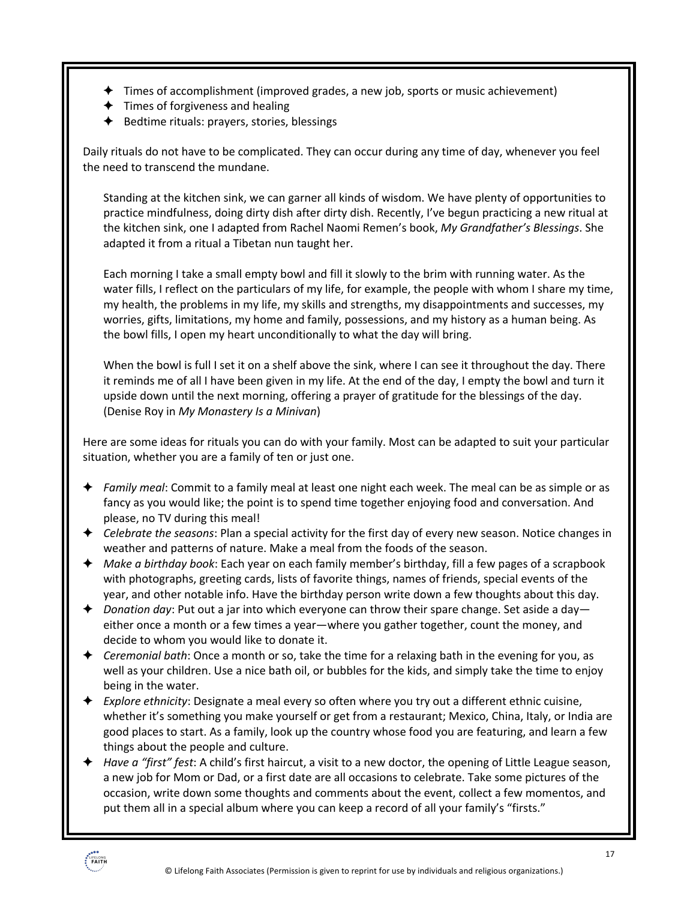- $\triangleq$  Times of accomplishment (improved grades, a new job, sports or music achievement)
- $\triangleleft$  Times of forgiveness and healing
- $\triangleleft$  Bedtime rituals: prayers, stories, blessings

Daily rituals do not have to be complicated. They can occur during any time of day, whenever you feel the need to transcend the mundane.

Standing at the kitchen sink, we can garner all kinds of wisdom. We have plenty of opportunities to practice mindfulness, doing dirty dish after dirty dish. Recently, I've begun practicing a new ritual at the kitchen sink, one I adapted from Rachel Naomi Remen's book, *My Grandfather's Blessings*. She adapted it from a ritual a Tibetan nun taught her.

Each morning I take a small empty bowl and fill it slowly to the brim with running water. As the water fills, I reflect on the particulars of my life, for example, the people with whom I share my time, my health, the problems in my life, my skills and strengths, my disappointments and successes, my worries, gifts, limitations, my home and family, possessions, and my history as a human being. As the bowl fills, I open my heart unconditionally to what the day will bring.

When the bowl is full I set it on a shelf above the sink, where I can see it throughout the day. There it reminds me of all I have been given in my life. At the end of the day, I empty the bowl and turn it upside down until the next morning, offering a prayer of gratitude for the blessings of the day. (Denise Roy in *My Monastery Is a Minivan*)

Here are some ideas for rituals you can do with your family. Most can be adapted to suit your particular situation, whether you are a family of ten or just one.

- ! *Family meal*: Commit to a family meal at least one night each week. The meal can be as simple or as fancy as you would like; the point is to spend time together enjoying food and conversation. And please, no TV during this meal!
- ! *Celebrate the seasons*: Plan a special activity for the first day of every new season. Notice changes in weather and patterns of nature. Make a meal from the foods of the season.
- ! *Make a birthday book*: Each year on each family member's birthday, fill a few pages of a scrapbook with photographs, greeting cards, lists of favorite things, names of friends, special events of the year, and other notable info. Have the birthday person write down a few thoughts about this day.
- ! *Donation day*: Put out a jar into which everyone can throw their spare change. Set aside a day either once a month or a few times a year—where you gather together, count the money, and decide to whom you would like to donate it.
- ! *Ceremonial bath*: Once a month or so, take the time for a relaxing bath in the evening for you, as well as your children. Use a nice bath oil, or bubbles for the kids, and simply take the time to enjoy being in the water.
- ! *Explore ethnicity*: Designate a meal every so often where you try out a different ethnic cuisine, whether it's something you make yourself or get from a restaurant; Mexico, China, Italy, or India are good places to start. As a family, look up the country whose food you are featuring, and learn a few things about the people and culture.
- ! *Have a "first" fest*: A child's first haircut, a visit to a new doctor, the opening of Little League season, a new job for Mom or Dad, or a first date are all occasions to celebrate. Take some pictures of the occasion, write down some thoughts and comments about the event, collect a few momentos, and put them all in a special album where you can keep a record of all your family's "firsts."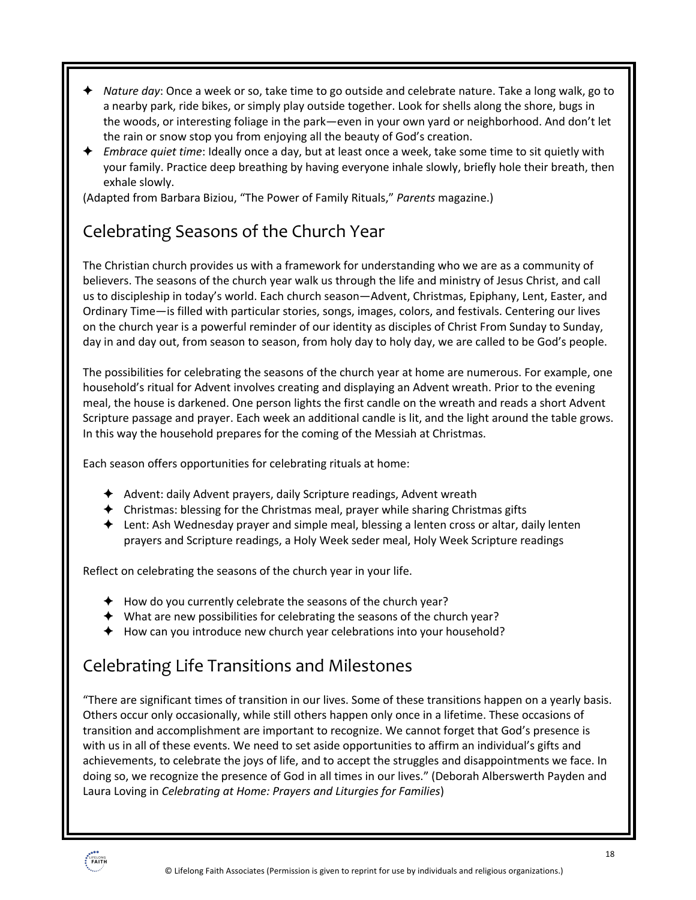- ! *Nature day*: Once a week or so, take time to go outside and celebrate nature. Take a long walk, go to a nearby park, ride bikes, or simply play outside together. Look for shells along the shore, bugs in the woods, or interesting foliage in the park—even in your own yard or neighborhood. And don't let the rain or snow stop you from enjoying all the beauty of God's creation.
- ! *Embrace quiet time*: Ideally once a day, but at least once a week, take some time to sit quietly with your family. Practice deep breathing by having everyone inhale slowly, briefly hole their breath, then exhale slowly.

(Adapted from Barbara Biziou, "The Power of Family Rituals," *Parents* magazine.)

# Celebrating Seasons of the Church Year

The Christian church provides us with a framework for understanding who we are as a community of believers. The seasons of the church year walk us through the life and ministry of Jesus Christ, and call us to discipleship in today's world. Each church season—Advent, Christmas, Epiphany, Lent, Easter, and Ordinary Time—is filled with particular stories, songs, images, colors, and festivals. Centering our lives on the church year is a powerful reminder of our identity as disciples of Christ From Sunday to Sunday, day in and day out, from season to season, from holy day to holy day, we are called to be God's people.

The possibilities for celebrating the seasons of the church year at home are numerous. For example, one household's ritual for Advent involves creating and displaying an Advent wreath. Prior to the evening meal, the house is darkened. One person lights the first candle on the wreath and reads a short Advent Scripture passage and prayer. Each week an additional candle is lit, and the light around the table grows. In this way the household prepares for the coming of the Messiah at Christmas.

Each season offers opportunities for celebrating rituals at home:

- $\triangleleft$  Advent: daily Advent prayers, daily Scripture readings, Advent wreath
- $\triangleq$  Christmas: blessing for the Christmas meal, prayer while sharing Christmas gifts
- $\triangleq$  Lent: Ash Wednesday prayer and simple meal, blessing a lenten cross or altar, daily lenten prayers and Scripture readings, a Holy Week seder meal, Holy Week Scripture readings

Reflect on celebrating the seasons of the church year in your life.

- $\triangleq$  How do you currently celebrate the seasons of the church year?
- $\blacklozenge$  What are new possibilities for celebrating the seasons of the church year?
- ◆ How can you introduce new church year celebrations into your household?

## Celebrating Life Transitions and Milestones

"There are significant times of transition in our lives. Some of these transitions happen on a yearly basis. Others occur only occasionally, while still others happen only once in a lifetime. These occasions of transition and accomplishment are important to recognize. We cannot forget that God's presence is with us in all of these events. We need to set aside opportunities to affirm an individual's gifts and achievements, to celebrate the joys of life, and to accept the struggles and disappointments we face. In doing so, we recognize the presence of God in all times in our lives." (Deborah Alberswerth Payden and Laura Loving in *Celebrating at Home: Prayers and Liturgies for Families*)

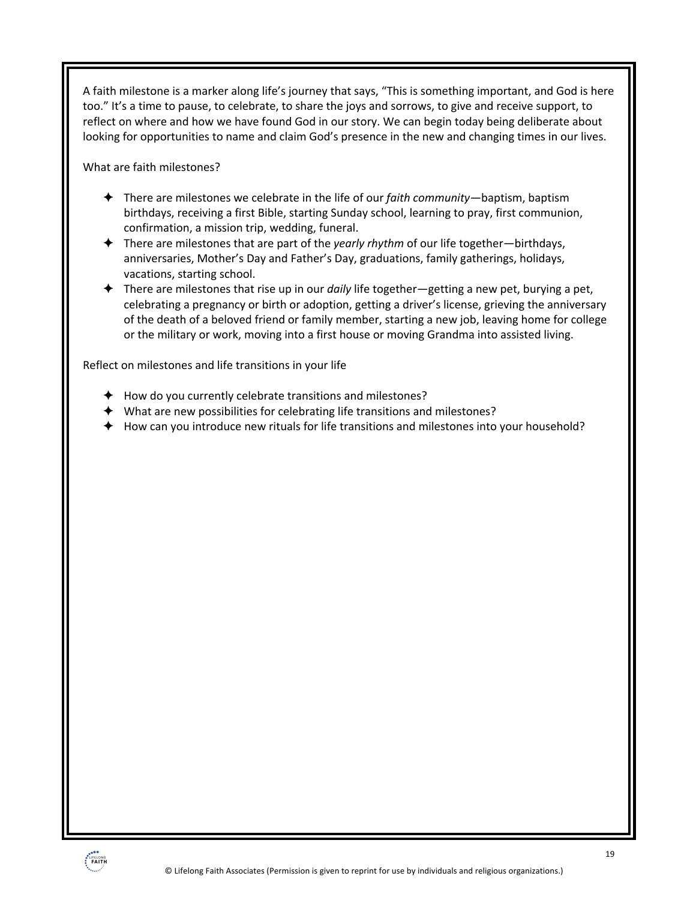A faith milestone is a marker along life's journey that says, "This is something important, and God is here too." It's a time to pause, to celebrate, to share the joys and sorrows, to give and receive support, to reflect on where and how we have found God in our story. We can begin today being deliberate about looking for opportunities to name and claim God's presence in the new and changing times in our lives.

What are faith milestones?

- ! There are milestones we celebrate in the life of our *faith community*—baptism, baptism birthdays, receiving a first Bible, starting Sunday school, learning to pray, first communion, confirmation, a mission trip, wedding, funeral.
- ! There are milestones that are part of the *yearly rhythm* of our life together—birthdays, anniversaries, Mother's Day and Father's Day, graduations, family gatherings, holidays, vacations, starting school.
- ! There are milestones that rise up in our *daily* life together—getting a new pet, burying a pet, celebrating a pregnancy or birth or adoption, getting a driver's license, grieving the anniversary of the death of a beloved friend or family member, starting a new job, leaving home for college or the military or work, moving into a first house or moving Grandma into assisted living.

Reflect on milestones and life transitions in your life

- $\triangle$  How do you currently celebrate transitions and milestones?
- $\blacktriangleright$  What are new possibilities for celebrating life transitions and milestones?
- $\triangle$  How can you introduce new rituals for life transitions and milestones into your household?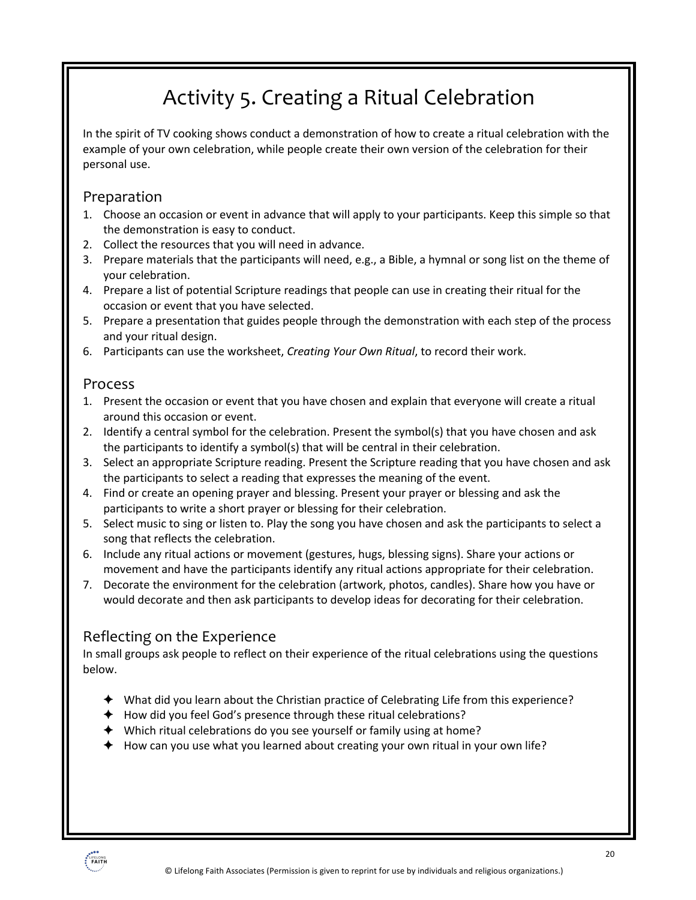# Activity 5. Creating a Ritual Celebration

In the spirit of TV cooking shows conduct a demonstration of how to create a ritual celebration with the example of your own celebration, while people create their own version of the celebration for their personal use.

#### Preparation

- 1. Choose an occasion or event in advance that will apply to your participants. Keep this simple so that the demonstration is easy to conduct.
- 2. Collect the resources that you will need in advance.
- 3. Prepare materials that the participants will need, e.g., a Bible, a hymnal or song list on the theme of your celebration.
- 4. Prepare a list of potential Scripture readings that people can use in creating their ritual for the occasion or event that you have selected.
- 5. Prepare a presentation that guides people through the demonstration with each step of the process and your ritual design.
- 6. Participants can use the worksheet, *Creating Your Own Ritual*, to record their work.

#### Process

- 1. Present the occasion or event that you have chosen and explain that everyone will create a ritual around this occasion or event.
- 2. Identify a central symbol for the celebration. Present the symbol(s) that you have chosen and ask the participants to identify a symbol(s) that will be central in their celebration.
- 3. Select an appropriate Scripture reading. Present the Scripture reading that you have chosen and ask the participants to select a reading that expresses the meaning of the event.
- 4. Find or create an opening prayer and blessing. Present your prayer or blessing and ask the participants to write a short prayer or blessing for their celebration.
- 5. Select music to sing or listen to. Play the song you have chosen and ask the participants to select a song that reflects the celebration.
- 6. Include any ritual actions or movement (gestures, hugs, blessing signs). Share your actions or movement and have the participants identify any ritual actions appropriate for their celebration.
- 7. Decorate the environment for the celebration (artwork, photos, candles). Share how you have or would decorate and then ask participants to develop ideas for decorating for their celebration.

#### Reflecting on the Experience

In small groups ask people to reflect on their experience of the ritual celebrations using the questions below.

- ! What did you learn about the Christian practice of Celebrating Life from this experience?
- $\triangleq$  How did you feel God's presence through these ritual celebrations?
- $\blacktriangleright$  Which ritual celebrations do you see yourself or family using at home?
- $\triangle$  How can you use what you learned about creating your own ritual in your own life?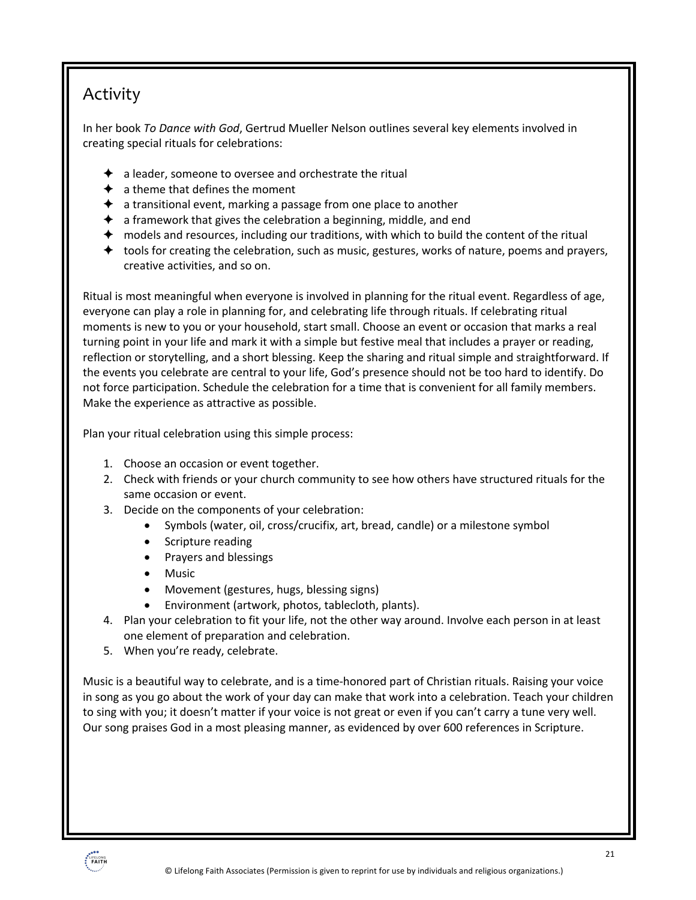# Activity

In her book *To Dance with God*, Gertrud Mueller Nelson outlines several key elements involved in creating special rituals for celebrations:

- $\triangleq$  a leader, someone to oversee and orchestrate the ritual
- $\triangleleft$  a theme that defines the moment
- $\triangleq$  a transitional event, marking a passage from one place to another
- $\triangleq$  a framework that gives the celebration a beginning, middle, and end
- $\blacklozenge$  models and resources, including our traditions, with which to build the content of the ritual
- $\triangleq$  tools for creating the celebration, such as music, gestures, works of nature, poems and prayers, creative activities, and so on.

Ritual is most meaningful when everyone is involved in planning for the ritual event. Regardless of age, everyone can play a role in planning for, and celebrating life through rituals. If celebrating ritual moments is new to you or your household, start small. Choose an event or occasion that marks a real turning point in your life and mark it with a simple but festive meal that includes a prayer or reading, reflection or storytelling, and a short blessing. Keep the sharing and ritual simple and straightforward. If the events you celebrate are central to your life, God's presence should not be too hard to identify. Do not force participation. Schedule the celebration for a time that is convenient for all family members. Make the experience as attractive as possible.

Plan your ritual celebration using this simple process:

- 1. Choose an occasion or event together.
- 2. Check with friends or your church community to see how others have structured rituals for the same occasion or event.
- 3. Decide on the components of your celebration:
	- Symbols (water, oil, cross/crucifix, art, bread, candle) or a milestone symbol
	- Scripture reading
	- Prayers and blessings
	- **Music**
	- Movement (gestures, hugs, blessing signs)
	- Environment (artwork, photos, tablecloth, plants).
- 4. Plan your celebration to fit your life, not the other way around. Involve each person in at least one element of preparation and celebration.
- 5. When you're ready, celebrate.

Music is a beautiful way to celebrate, and is a time-honored part of Christian rituals. Raising your voice in song as you go about the work of your day can make that work into a celebration. Teach your children to sing with you; it doesn't matter if your voice is not great or even if you can't carry a tune very well. Our song praises God in a most pleasing manner, as evidenced by over 600 references in Scripture.

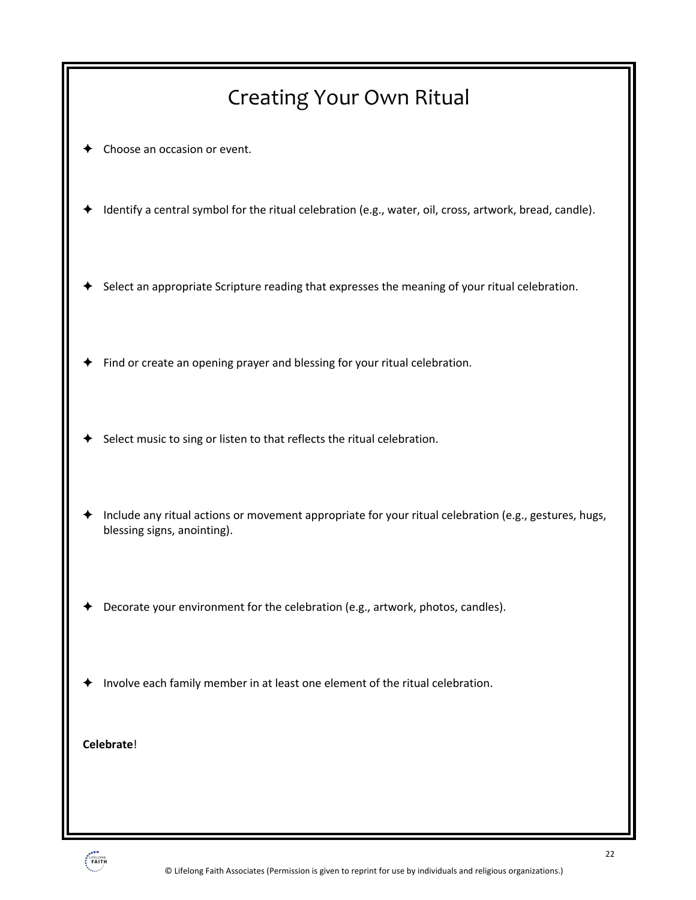# Creating Your Own Ritual

- Choose an occasion or event.
- ! Identify a central symbol for the ritual celebration (e.g., water, oil, cross, artwork, bread, candle).
- Select an appropriate Scripture reading that expresses the meaning of your ritual celebration.
- Find or create an opening prayer and blessing for your ritual celebration.
- $\triangleq$  Select music to sing or listen to that reflects the ritual celebration.
- ! Include any ritual actions or movement appropriate for your ritual celebration (e.g., gestures, hugs, blessing signs, anointing).
- Decorate your environment for the celebration (e.g., artwork, photos, candles).
- ! Involve each family member in at least one element of the ritual celebration.

**Celebrate**!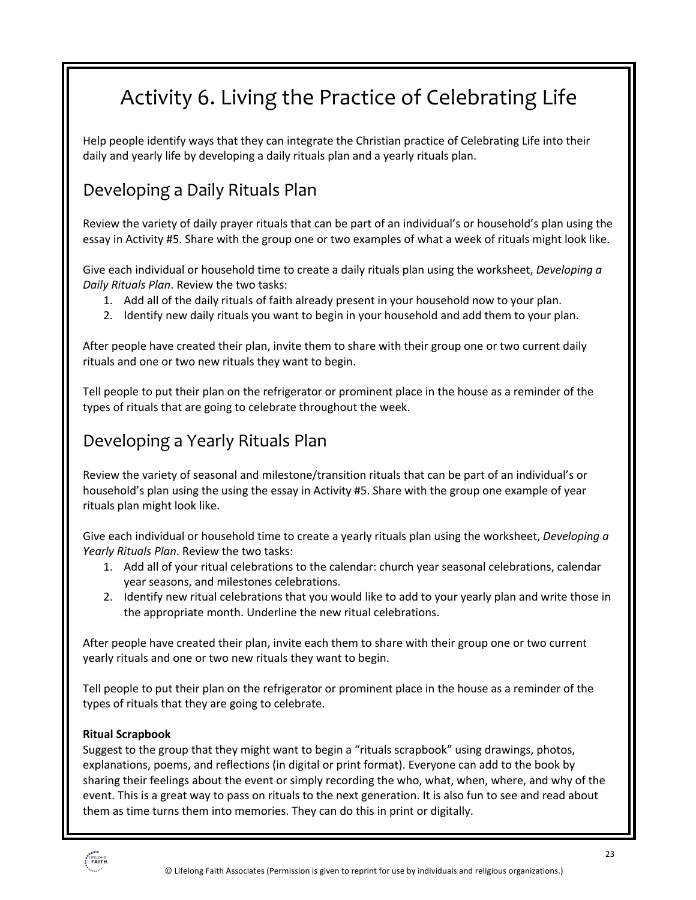# Activity 6. Living the Practice of Celebrating Life

Help people identify ways that they can integrate the Christian practice of Celebrating Life into their daily and yearly life by developing a daily rituals plan and a yearly rituals plan.

# Developing a Daily Rituals Plan

Review the variety of daily prayer rituals that can be part of an individual's or household's plan using the essay in Activity #5. Share with the group one or two examples of what a week of rituals might look like.

Give each individual or household time to create a daily rituals plan using the worksheet, *Developing a Daily Rituals Plan*. Review the two tasks:

- 1. Add all of the daily rituals of faith already present in your household now to your plan.
- 2. Identify new daily rituals you want to begin in your household and add them to your plan.

After people have created their plan, invite them to share with their group one or two current daily rituals and one or two new rituals they want to begin.

Tell people to put their plan on the refrigerator or prominent place in the house as a reminder of the types of rituals that are going to celebrate throughout the week.

## Developing a Yearly Rituals Plan

Review the variety of seasonal and milestone/transition rituals that can be part of an individual's or household's plan using the using the essay in Activity #5. Share with the group one example of year rituals plan might look like.

Give each individual or household time to create a yearly rituals plan using the worksheet, *Developing a Yearly Rituals Plan*. Review the two tasks:

- 1. Add all of your ritual celebrations to the calendar: church year seasonal celebrations, calendar year seasons, and milestones celebrations.
- 2. Identify new ritual celebrations that you would like to add to your yearly plan and write those in the appropriate month. Underline the new ritual celebrations.

After people have created their plan, invite each them to share with their group one or two current yearly rituals and one or two new rituals they want to begin.

Tell people to put their plan on the refrigerator or prominent place in the house as a reminder of the types of rituals that they are going to celebrate.

#### **Ritual Scrapbook**

Suggest to the group that they might want to begin a "rituals scrapbook" using drawings, photos, explanations, poems, and reflections (in digital or print format). Everyone can add to the book by sharing their feelings about the event or simply recording the who, what, when, where, and why of the event. This is a great way to pass on rituals to the next generation. It is also fun to see and read about them as time turns them into memories. They can do this in print or digitally.

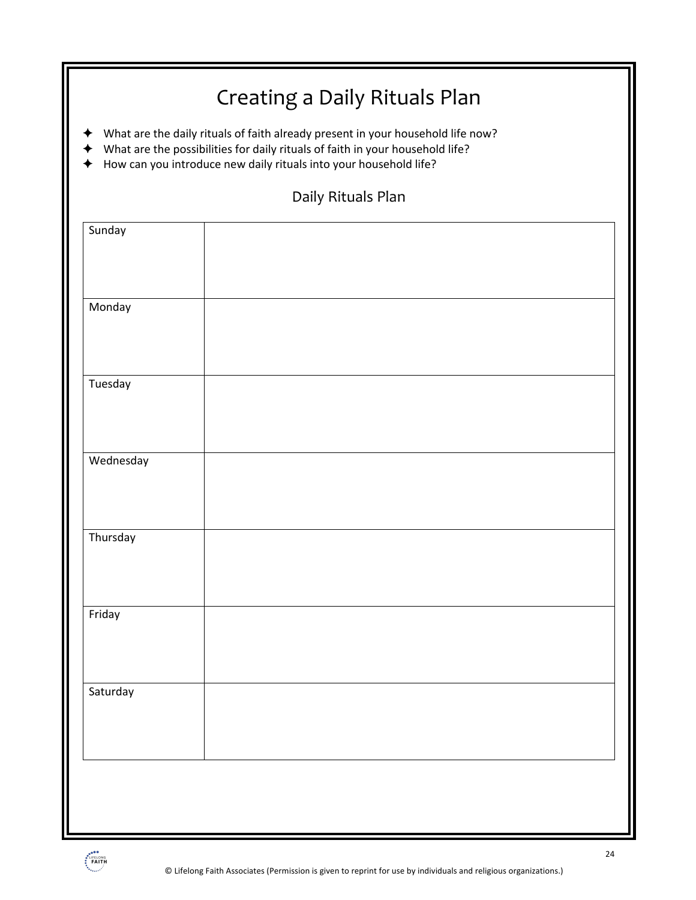| Creating a Daily Rituals Plan                                                                                                                                                                                                         |  |  |  |
|---------------------------------------------------------------------------------------------------------------------------------------------------------------------------------------------------------------------------------------|--|--|--|
| What are the daily rituals of faith already present in your household life now?<br>What are the possibilities for daily rituals of faith in your household life?<br>How can you introduce new daily rituals into your household life? |  |  |  |
| Daily Rituals Plan                                                                                                                                                                                                                    |  |  |  |
| Sunday                                                                                                                                                                                                                                |  |  |  |
| Monday                                                                                                                                                                                                                                |  |  |  |
| Tuesday                                                                                                                                                                                                                               |  |  |  |
| Wednesday                                                                                                                                                                                                                             |  |  |  |
| Thursday                                                                                                                                                                                                                              |  |  |  |
| Friday                                                                                                                                                                                                                                |  |  |  |
| Saturday                                                                                                                                                                                                                              |  |  |  |
|                                                                                                                                                                                                                                       |  |  |  |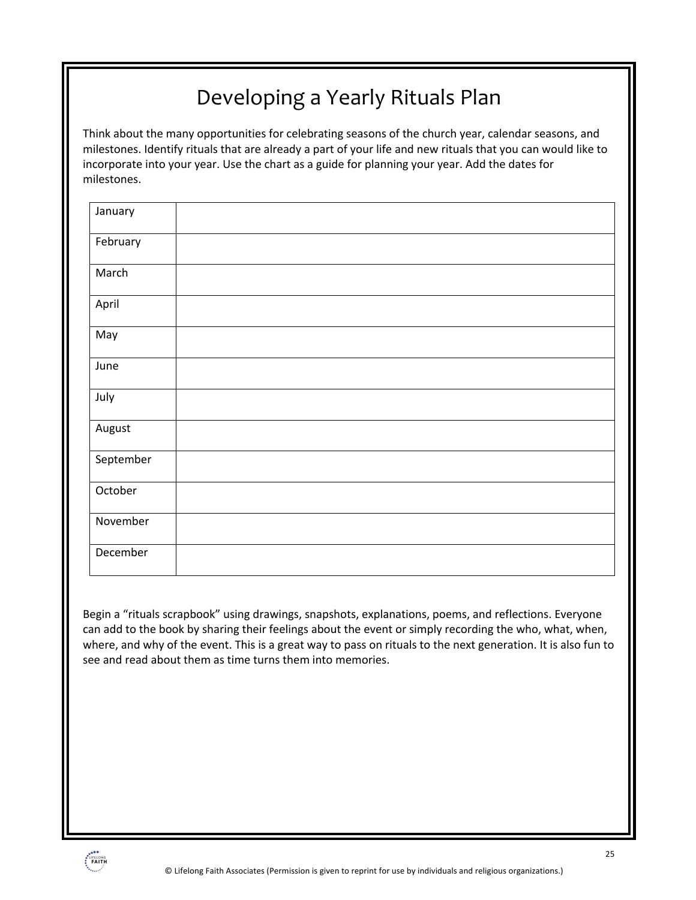# Developing a Yearly Rituals Plan

Think about the many opportunities for celebrating seasons of the church year, calendar seasons, and milestones. Identify rituals that are already a part of your life and new rituals that you can would like to incorporate into your year. Use the chart as a guide for planning your year. Add the dates for milestones.

| January   |  |
|-----------|--|
| February  |  |
| March     |  |
| April     |  |
| May       |  |
| June      |  |
| July      |  |
| August    |  |
| September |  |
| October   |  |
| November  |  |
| December  |  |

Begin a "rituals scrapbook" using drawings, snapshots, explanations, poems, and reflections. Everyone can add to the book by sharing their feelings about the event or simply recording the who, what, when, where, and why of the event. This is a great way to pass on rituals to the next generation. It is also fun to see and read about them as time turns them into memories.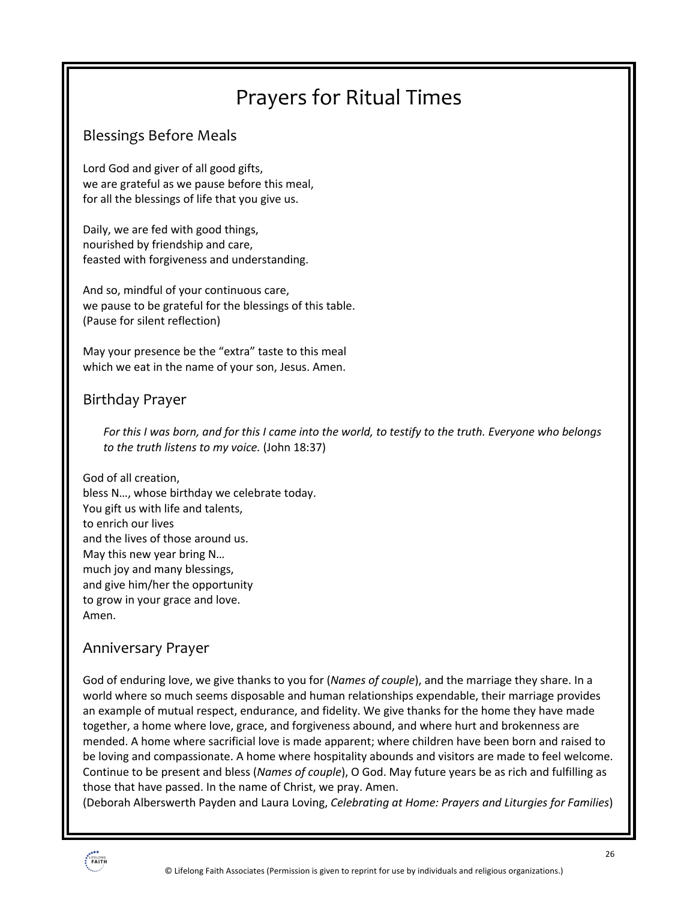# Prayers for Ritual Times

#### Blessings Before Meals

Lord God and giver of all good gifts, we are grateful as we pause before this meal, for all the blessings of life that you give us.

Daily, we are fed with good things, nourished by friendship and care, feasted with forgiveness and understanding.

And so, mindful of your continuous care, we pause to be grateful for the blessings of this table. (Pause for silent reflection)

May your presence be the "extra" taste to this meal which we eat in the name of your son, Jesus. Amen.

#### Birthday Prayer

*For this I was born, and for this I came into the world, to testify to the truth. Everyone who belongs to the truth listens to my voice.* (John 18:37)

God of all creation, bless N…, whose birthday we celebrate today. You gift us with life and talents, to enrich our lives and the lives of those around us. May this new year bring N… much joy and many blessings, and give him/her the opportunity to grow in your grace and love. Amen.

#### Anniversary Prayer

God of enduring love, we give thanks to you for (*Names of couple*), and the marriage they share. In a world where so much seems disposable and human relationships expendable, their marriage provides an example of mutual respect, endurance, and fidelity. We give thanks for the home they have made together, a home where love, grace, and forgiveness abound, and where hurt and brokenness are mended. A home where sacrificial love is made apparent; where children have been born and raised to be loving and compassionate. A home where hospitality abounds and visitors are made to feel welcome. Continue to be present and bless (*Names of couple*), O God. May future years be as rich and fulfilling as those that have passed. In the name of Christ, we pray. Amen.

(Deborah Alberswerth Payden and Laura Loving, *Celebrating at Home: Prayers and Liturgies for Families*)